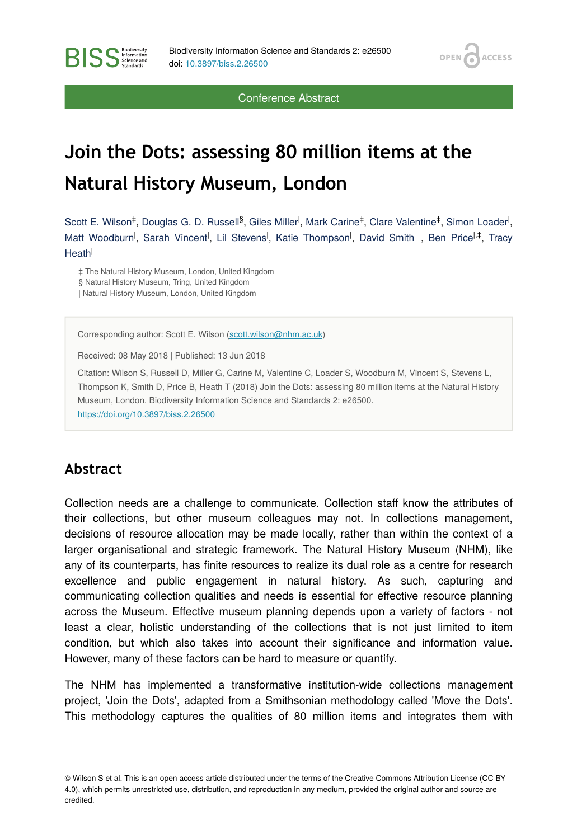OPEN<sub>C</sub>

**ACCESS** 

Conference Abstract

## **Join the Dots: assessing 80 million items at the Natural History Museum, London**

Scott E. Wilson<sup>‡</sup>, Douglas G. D. Russell<sup>§</sup>, Giles Miller<sup>I</sup>, Mark Carine<sup>‡</sup>, Clare Valentine<sup>‡</sup>, Simon Loader<sup>I</sup>, Matt Woodburn<sup>I</sup>, Sarah Vincent<sup>I</sup>, Lil Stevens<sup>I</sup>, Katie Thompson<sup>I</sup>, David Smith <sup>I</sup>, Ben Price<sup>l,‡</sup>, Tracy Heath<sup>l</sup>

‡ The Natural History Museum, London, United Kingdom § Natural History Museum, Tring, United Kingdom | Natural History Museum, London, United Kingdom

Corresponding author: Scott E. Wilson ([scott.wilson@nhm.ac.uk](mailto:scott.wilson@nhm.ac.uk))

Received: 08 May 2018 | Published: 13 Jun 2018

Citation: Wilson S, Russell D, Miller G, Carine M, Valentine C, Loader S, Woodburn M, Vincent S, Stevens L, Thompson K, Smith D, Price B, Heath T (2018) Join the Dots: assessing 80 million items at the Natural History Museum, London. Biodiversity Information Science and Standards 2: e26500. <https://doi.org/10.3897/biss.2.26500>

## **Abstract**

**BISS** Steince and

Collection needs are a challenge to communicate. Collection staff know the attributes of their collections, but other museum colleagues may not. In collections management, decisions of resource allocation may be made locally, rather than within the context of a larger organisational and strategic framework. The Natural History Museum (NHM), like any of its counterparts, has finite resources to realize its dual role as a centre for research excellence and public engagement in natural history. As such, capturing and communicating collection qualities and needs is essential for effective resource planning across the Museum. Effective museum planning depends upon a variety of factors - not least a clear, holistic understanding of the collections that is not just limited to item condition, but which also takes into account their significance and information value. However, many of these factors can be hard to measure or quantify.

The NHM has implemented a transformative institution-wide collections management project, 'Join the Dots', adapted from a Smithsonian methodology called 'Move the Dots'. This methodology captures the qualities of 80 million items and integrates them with

<sup>©</sup> Wilson S et al. This is an open access article distributed under the terms of the Creative Commons Attribution License (CC BY 4.0), which permits unrestricted use, distribution, and reproduction in any medium, provided the original author and source are credited.